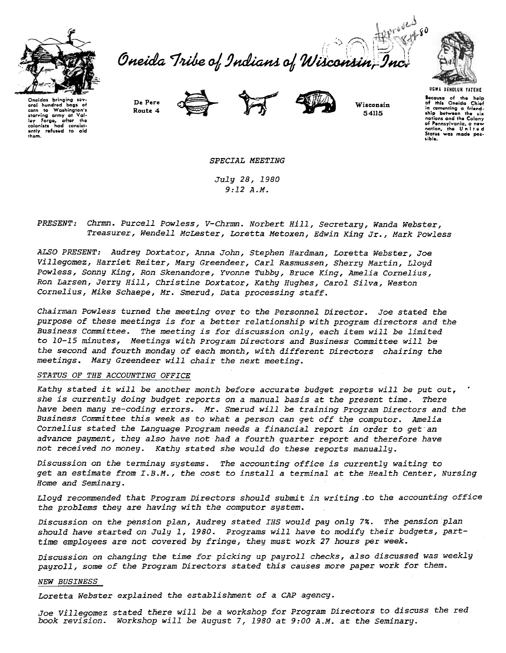

S Affraid Oneida Tribe of Indians of Wisconsin,



Onoidas bringing se hundred baas oral ural nuntrea bags of<br>corn to Washington's<br>starving army at Val-<br>ley Forge, after the<br>colonists had consist-<br>ently refused to aid<br>them.

De Pere Route 4





Wisconsin 54115

Bocause of the help<br>of this Oneida Chief in comenting a friend-<br>ship between the six nations and the Colony of Pennsylvania, a new<br>nation, the United<br>States was made pos-

SPECIAL MEETING

July 28, 1980  $9:12A.M.$ 

PRESENT: Chrmn. Purcell Powless, V-Chrmn. Norbert Hill, Secretary, Wanda Webster, Treasurer, Wendell McLester, Loretta Metoxen, Edwin King Jr., Mark Powless

ALSO PRESENT: Audrey Doxtator, Anna John, Stephen Hardman, Loretta Webster, Joe Villegomez, Harriet Reiter, Mary Greendeer, Carl Rasmussen, Sherry Martin, Lloyd Powless, Sonny King, Ron Skenandore, Yvonne Tubby, Bruce King, Amelia Cornelius, Ron Larsen, Jerry Hill, Christine Doxtator, Kathy Hughes, Carol Silva, Weston Cornelius, Mike Schaepe, Mr. Smerud, Data processing staff.

Chairman Powless turned the meeting over to the Personnel Director. Joe stated the purpose of these meetings is for a better relationship with program directors and the Business Committee. The meeting is for discussion only, each item will be limited to 10-15 minutes, Meetings with Program Directors and Business Committee will be the second and fourth monday of each month, with different Directors chairing the meetings. Mary Greendeer will chair the next meeting.

## STATUS OF THE ACCOUNTING OFFICE

Kathy stated it will be another month before accurate budget reports will be put out. she is currently doing budget reports on a manual basis at the present time. There have been many re-coding errors. Mr. Smerud will be training Program Directors and the Business Committee this week as to what a person can get off the computor. Amelia Cornelius stated the Language Program needs a financial report in order to get an advance payment, they also have not had a fourth quarter report and therefore have not received no money. Kathy stated she would do these reports manually.

Discussion on the terminay systems. The accounting office is currently waiting to get an estimate from I.B.M., the cost to install a terminal at the Health Center, Nursing Home and Seminary.

Lloyd recommended that Program Directors should submit in writing to the accounting office the problems they are having with the computor system.

Discussion on the pension plan, Audrey stated IHS would pay only 7%. The pension plan should have started on July 1, 1980. Programs will have to modify their budgets, parttime employees are not covered by fringe, they must work 27 hours per week.

Discussion on changing the time for picking up payroll checks, also discussed was weekly payroll, some of the Program Directors stated this causes more paper work for them.

## **NEW BUSINESS**

Loretta Webster explained the establishment of a CAP agency.

Joe Villegomez stated there will be a workshop for Program Directors to discuss the red book revision. Workshop will be August 7, 1980 at 9:00 A.M. at the Seminary.